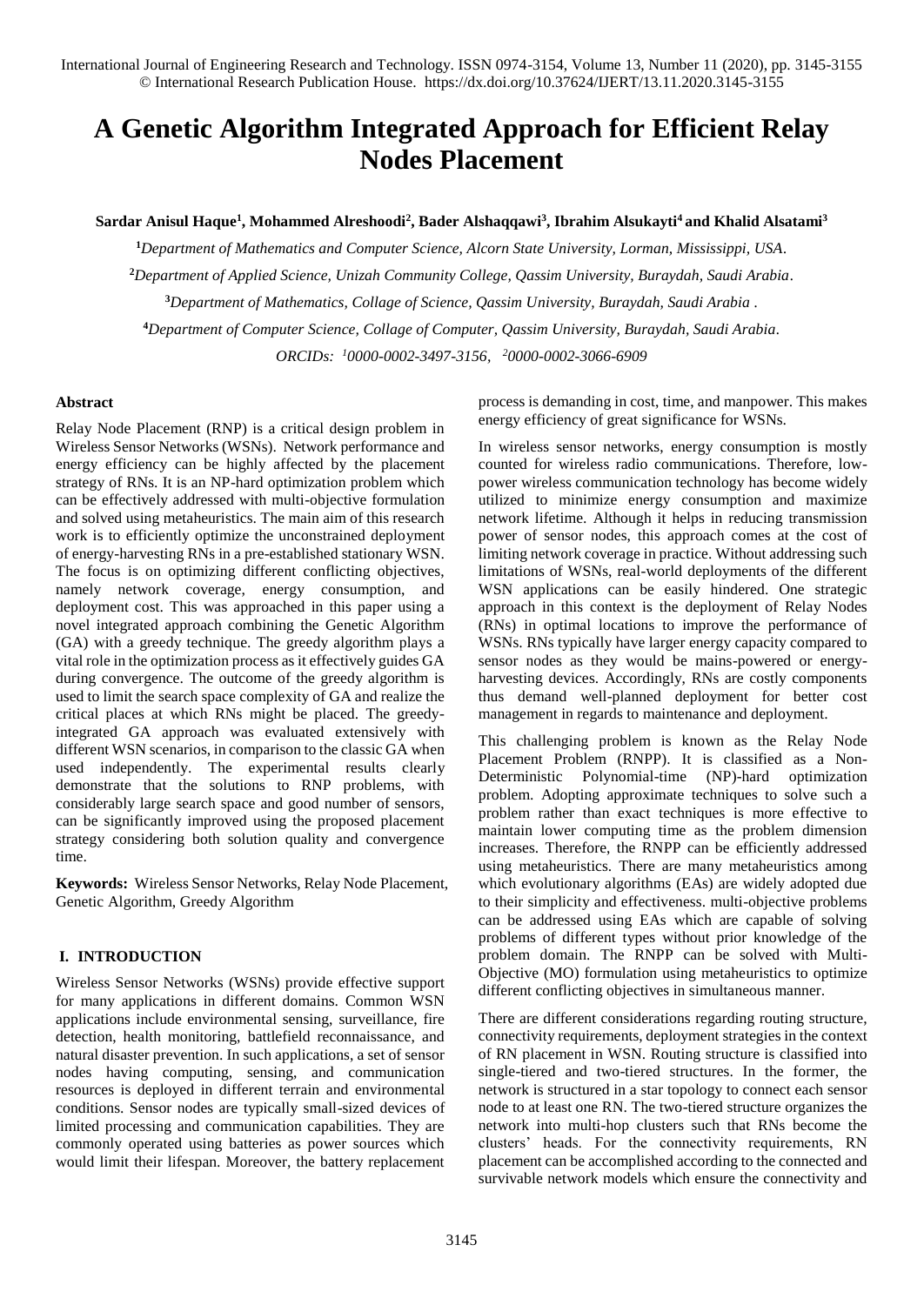# **A Genetic Algorithm Integrated Approach for Efficient Relay Nodes Placement**

# **Sardar Anisul Haque<sup>1</sup> , Mohammed Alreshoodi<sup>2</sup> , Bader Alshaqqawi<sup>3</sup> , Ibrahim Alsukayti<sup>4</sup> and Khalid Alsatami<sup>3</sup>**

*Department of Mathematics and Computer Science, Alcorn State University, Lorman, Mississippi, USA. Department of Applied Science, Unizah Community College, Qassim University, Buraydah, Saudi Arabia. Department of Mathematics, Collage of Science, Qassim University, Buraydah, Saudi Arabia . Department of Computer Science, Collage of Computer, Qassim University, Buraydah, Saudi Arabia. ORCIDs: <sup>1</sup>[0000-0002-3497-3156,](https://orcid.org/0000-0002-3497-3156) <sup>2</sup>[0000-0002-3066-6909](https://orcid.org/0000-0002-3066-6909)*

## **Abstract**

Relay Node Placement (RNP) is a critical design problem in Wireless Sensor Networks (WSNs). Network performance and energy efficiency can be highly affected by the placement strategy of RNs. It is an NP-hard optimization problem which can be effectively addressed with multi-objective formulation and solved using metaheuristics. The main aim of this research work is to efficiently optimize the unconstrained deployment of energy-harvesting RNs in a pre-established stationary WSN. The focus is on optimizing different conflicting objectives, namely network coverage, energy consumption, and deployment cost. This was approached in this paper using a novel integrated approach combining the Genetic Algorithm (GA) with a greedy technique. The greedy algorithm plays a vital role in the optimization process as it effectively guides GA during convergence. The outcome of the greedy algorithm is used to limit the search space complexity of GA and realize the critical places at which RNs might be placed. The greedyintegrated GA approach was evaluated extensively with different WSN scenarios, in comparison to the classic GA when used independently. The experimental results clearly demonstrate that the solutions to RNP problems, with considerably large search space and good number of sensors, can be significantly improved using the proposed placement strategy considering both solution quality and convergence time.

**Keywords:** Wireless Sensor Networks, Relay Node Placement, Genetic Algorithm, Greedy Algorithm

# **I. INTRODUCTION**

Wireless Sensor Networks (WSNs) provide effective support for many applications in different domains. Common WSN applications include environmental sensing, surveillance, fire detection, health monitoring, battlefield reconnaissance, and natural disaster prevention. In such applications, a set of sensor nodes having computing, sensing, and communication resources is deployed in different terrain and environmental conditions. Sensor nodes are typically small-sized devices of limited processing and communication capabilities. They are commonly operated using batteries as power sources which would limit their lifespan. Moreover, the battery replacement process is demanding in cost, time, and manpower. This makes energy efficiency of great significance for WSNs.

In wireless sensor networks, energy consumption is mostly counted for wireless radio communications. Therefore, lowpower wireless communication technology has become widely utilized to minimize energy consumption and maximize network lifetime. Although it helps in reducing transmission power of sensor nodes, this approach comes at the cost of limiting network coverage in practice. Without addressing such limitations of WSNs, real-world deployments of the different WSN applications can be easily hindered. One strategic approach in this context is the deployment of Relay Nodes (RNs) in optimal locations to improve the performance of WSNs. RNs typically have larger energy capacity compared to sensor nodes as they would be mains-powered or energyharvesting devices. Accordingly, RNs are costly components thus demand well-planned deployment for better cost management in regards to maintenance and deployment.

This challenging problem is known as the Relay Node Placement Problem (RNPP). It is classified as a Non-Deterministic Polynomial-time (NP)-hard optimization problem. Adopting approximate techniques to solve such a problem rather than exact techniques is more effective to maintain lower computing time as the problem dimension increases. Therefore, the RNPP can be efficiently addressed using metaheuristics. There are many metaheuristics among which evolutionary algorithms (EAs) are widely adopted due to their simplicity and effectiveness. multi-objective problems can be addressed using EAs which are capable of solving problems of different types without prior knowledge of the problem domain. The RNPP can be solved with Multi-Objective (MO) formulation using metaheuristics to optimize different conflicting objectives in simultaneous manner.

There are different considerations regarding routing structure, connectivity requirements, deployment strategies in the context of RN placement in WSN. Routing structure is classified into single-tiered and two-tiered structures. In the former, the network is structured in a star topology to connect each sensor node to at least one RN. The two-tiered structure organizes the network into multi-hop clusters such that RNs become the clusters' heads. For the connectivity requirements, RN placement can be accomplished according to the connected and survivable network models which ensure the connectivity and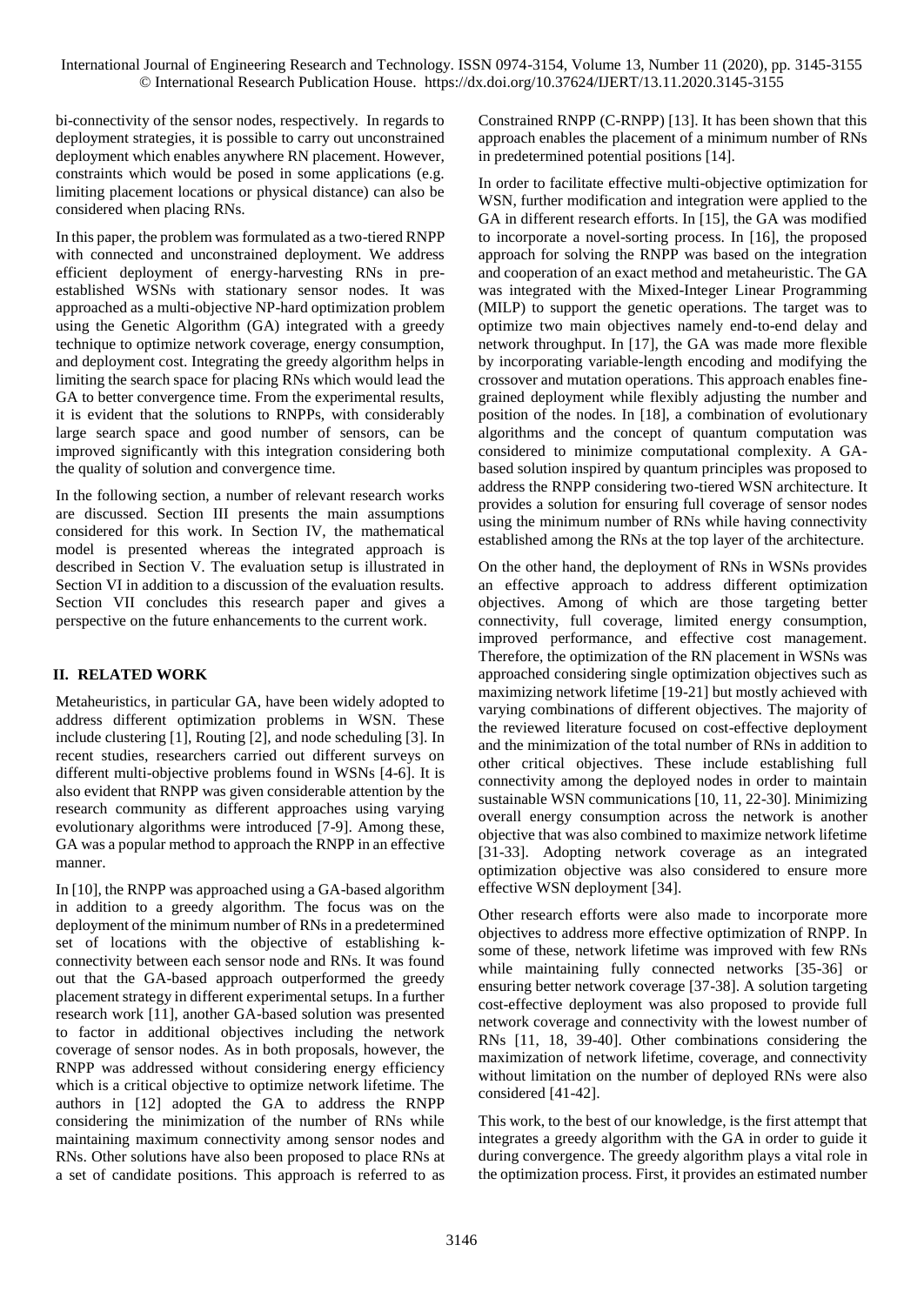bi-connectivity of the sensor nodes, respectively. In regards to deployment strategies, it is possible to carry out unconstrained deployment which enables anywhere RN placement. However, constraints which would be posed in some applications (e.g. limiting placement locations or physical distance) can also be considered when placing RNs.

In this paper, the problem was formulated as a two-tiered RNPP with connected and unconstrained deployment. We address efficient deployment of energy-harvesting RNs in preestablished WSNs with stationary sensor nodes. It was approached as a multi-objective NP-hard optimization problem using the Genetic Algorithm (GA) integrated with a greedy technique to optimize network coverage, energy consumption, and deployment cost. Integrating the greedy algorithm helps in limiting the search space for placing RNs which would lead the GA to better convergence time. From the experimental results, it is evident that the solutions to RNPPs, with considerably large search space and good number of sensors, can be improved significantly with this integration considering both the quality of solution and convergence time.

In the following section, a number of relevant research works are discussed. Section III presents the main assumptions considered for this work. In Section IV, the mathematical model is presented whereas the integrated approach is described in Section V. The evaluation setup is illustrated in Section VI in addition to a discussion of the evaluation results. Section VII concludes this research paper and gives a perspective on the future enhancements to the current work.

# **II. RELATED WORK**

Metaheuristics, in particular GA, have been widely adopted to address different optimization problems in WSN. These include clustering [1], Routing [2], and node scheduling [3]. In recent studies, researchers carried out different surveys on different multi-objective problems found in WSNs [4-6]. It is also evident that RNPP was given considerable attention by the research community as different approaches using varying evolutionary algorithms were introduced [7-9]. Among these, GA was a popular method to approach the RNPP in an effective manner.

In [10], the RNPP was approached using a GA-based algorithm in addition to a greedy algorithm. The focus was on the deployment of the minimum number of RNs in a predetermined set of locations with the objective of establishing kconnectivity between each sensor node and RNs. It was found out that the GA-based approach outperformed the greedy placement strategy in different experimental setups. In a further research work [11], another GA-based solution was presented to factor in additional objectives including the network coverage of sensor nodes. As in both proposals, however, the RNPP was addressed without considering energy efficiency which is a critical objective to optimize network lifetime. The authors in [12] adopted the GA to address the RNPP considering the minimization of the number of RNs while maintaining maximum connectivity among sensor nodes and RNs. Other solutions have also been proposed to place RNs at a set of candidate positions. This approach is referred to as Constrained RNPP (C-RNPP) [13]. It has been shown that this approach enables the placement of a minimum number of RNs in predetermined potential positions [14].

In order to facilitate effective multi-objective optimization for WSN, further modification and integration were applied to the GA in different research efforts. In [15], the GA was modified to incorporate a novel-sorting process. In [16], the proposed approach for solving the RNPP was based on the integration and cooperation of an exact method and metaheuristic. The GA was integrated with the Mixed-Integer Linear Programming (MILP) to support the genetic operations. The target was to optimize two main objectives namely end-to-end delay and network throughput. In [17], the GA was made more flexible by incorporating variable-length encoding and modifying the crossover and mutation operations. This approach enables finegrained deployment while flexibly adjusting the number and position of the nodes. In [18], a combination of evolutionary algorithms and the concept of quantum computation was considered to minimize computational complexity. A GAbased solution inspired by quantum principles was proposed to address the RNPP considering two-tiered WSN architecture. It provides a solution for ensuring full coverage of sensor nodes using the minimum number of RNs while having connectivity established among the RNs at the top layer of the architecture.

On the other hand, the deployment of RNs in WSNs provides an effective approach to address different optimization objectives. Among of which are those targeting better connectivity, full coverage, limited energy consumption, improved performance, and effective cost management. Therefore, the optimization of the RN placement in WSNs was approached considering single optimization objectives such as maximizing network lifetime [19-21] but mostly achieved with varying combinations of different objectives. The majority of the reviewed literature focused on cost-effective deployment and the minimization of the total number of RNs in addition to other critical objectives. These include establishing full connectivity among the deployed nodes in order to maintain sustainable WSN communications [10, 11, 22-30]. Minimizing overall energy consumption across the network is another objective that was also combined to maximize network lifetime [31-33]. Adopting network coverage as an integrated optimization objective was also considered to ensure more effective WSN deployment [34].

Other research efforts were also made to incorporate more objectives to address more effective optimization of RNPP. In some of these, network lifetime was improved with few RNs while maintaining fully connected networks [35-36] or ensuring better network coverage [37-38]. A solution targeting cost-effective deployment was also proposed to provide full network coverage and connectivity with the lowest number of RNs [11, 18, 39-40]. Other combinations considering the maximization of network lifetime, coverage, and connectivity without limitation on the number of deployed RNs were also considered [41-42].

This work, to the best of our knowledge, is the first attempt that integrates a greedy algorithm with the GA in order to guide it during convergence. The greedy algorithm plays a vital role in the optimization process. First, it provides an estimated number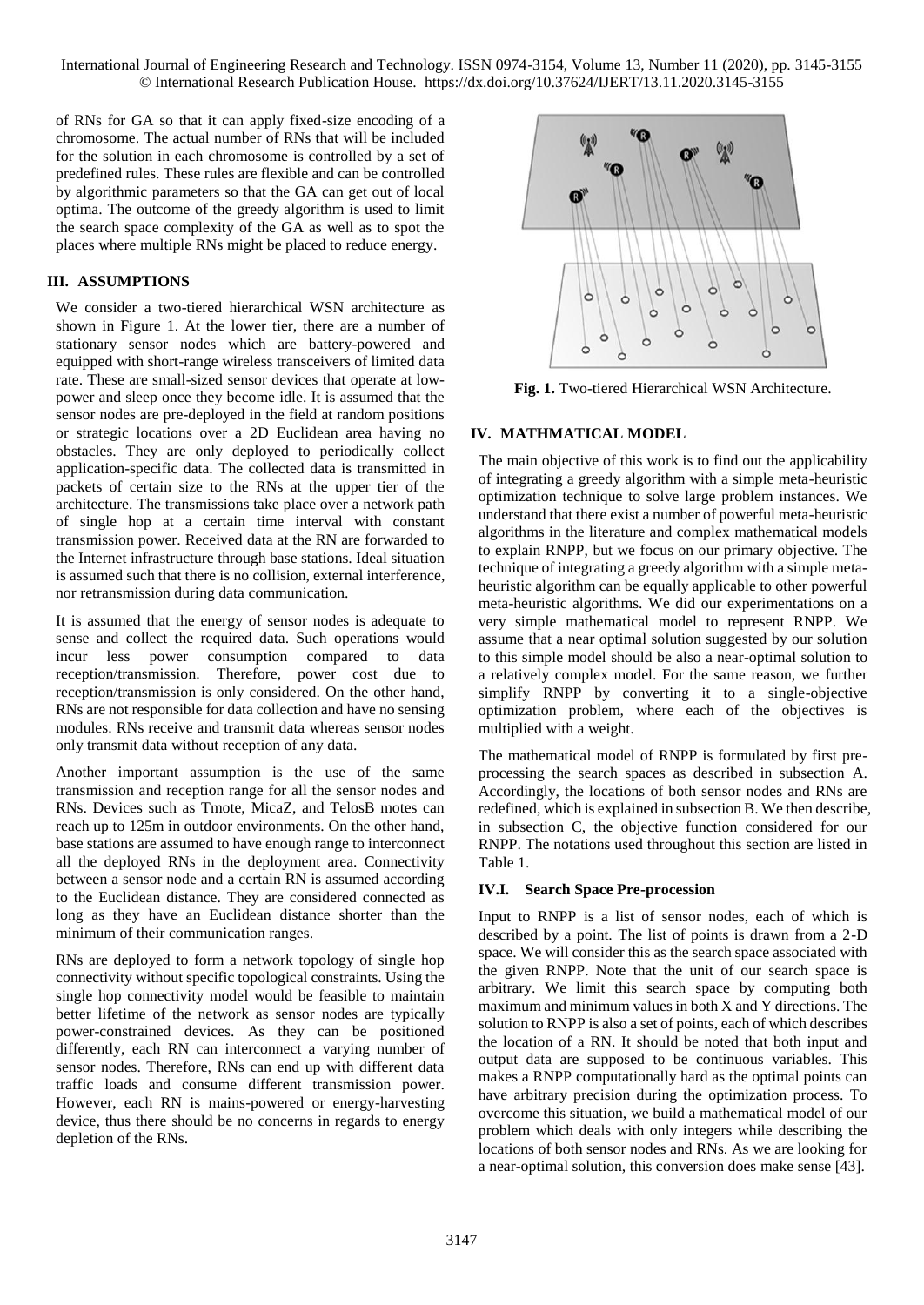of RNs for GA so that it can apply fixed-size encoding of a chromosome. The actual number of RNs that will be included for the solution in each chromosome is controlled by a set of predefined rules. These rules are flexible and can be controlled by algorithmic parameters so that the GA can get out of local optima. The outcome of the greedy algorithm is used to limit the search space complexity of the GA as well as to spot the places where multiple RNs might be placed to reduce energy.

## **III. ASSUMPTIONS**

We consider a two-tiered hierarchical WSN architecture as shown in Figure 1. At the lower tier, there are a number of stationary sensor nodes which are battery-powered and equipped with short-range wireless transceivers of limited data rate. These are small-sized sensor devices that operate at lowpower and sleep once they become idle. It is assumed that the sensor nodes are pre-deployed in the field at random positions or strategic locations over a 2D Euclidean area having no obstacles. They are only deployed to periodically collect application-specific data. The collected data is transmitted in packets of certain size to the RNs at the upper tier of the architecture. The transmissions take place over a network path of single hop at a certain time interval with constant transmission power. Received data at the RN are forwarded to the Internet infrastructure through base stations. Ideal situation is assumed such that there is no collision, external interference, nor retransmission during data communication.

It is assumed that the energy of sensor nodes is adequate to sense and collect the required data. Such operations would incur less power consumption compared to data reception/transmission. Therefore, power cost due to reception/transmission is only considered. On the other hand, RNs are not responsible for data collection and have no sensing modules. RNs receive and transmit data whereas sensor nodes only transmit data without reception of any data.

Another important assumption is the use of the same transmission and reception range for all the sensor nodes and RNs. Devices such as Tmote, MicaZ, and TelosB motes can reach up to 125m in outdoor environments. On the other hand, base stations are assumed to have enough range to interconnect all the deployed RNs in the deployment area. Connectivity between a sensor node and a certain RN is assumed according to the Euclidean distance. They are considered connected as long as they have an Euclidean distance shorter than the minimum of their communication ranges.

RNs are deployed to form a network topology of single hop connectivity without specific topological constraints. Using the single hop connectivity model would be feasible to maintain better lifetime of the network as sensor nodes are typically power-constrained devices. As they can be positioned differently, each RN can interconnect a varying number of sensor nodes. Therefore, RNs can end up with different data traffic loads and consume different transmission power. However, each RN is mains-powered or energy-harvesting device, thus there should be no concerns in regards to energy depletion of the RNs.



**Fig. 1.** Two-tiered Hierarchical WSN Architecture.

# **IV. MATHMATICAL MODEL**

The main objective of this work is to find out the applicability of integrating a greedy algorithm with a simple meta-heuristic optimization technique to solve large problem instances. We understand that there exist a number of powerful meta-heuristic algorithms in the literature and complex mathematical models to explain RNPP, but we focus on our primary objective. The technique of integrating a greedy algorithm with a simple metaheuristic algorithm can be equally applicable to other powerful meta-heuristic algorithms. We did our experimentations on a very simple mathematical model to represent RNPP. We assume that a near optimal solution suggested by our solution to this simple model should be also a near-optimal solution to a relatively complex model. For the same reason, we further simplify RNPP by converting it to a single-objective optimization problem, where each of the objectives is multiplied with a weight.

The mathematical model of RNPP is formulated by first preprocessing the search spaces as described in subsection A. Accordingly, the locations of both sensor nodes and RNs are redefined, which is explained in subsection B. We then describe, in subsection C, the objective function considered for our RNPP. The notations used throughout this section are listed in Table 1.

# **IV.I. Search Space Pre-procession**

Input to RNPP is a list of sensor nodes, each of which is described by a point. The list of points is drawn from a 2-D space. We will consider this as the search space associated with the given RNPP. Note that the unit of our search space is arbitrary. We limit this search space by computing both maximum and minimum values in both X and Y directions. The solution to RNPP is also a set of points, each of which describes the location of a RN. It should be noted that both input and output data are supposed to be continuous variables. This makes a RNPP computationally hard as the optimal points can have arbitrary precision during the optimization process. To overcome this situation, we build a mathematical model of our problem which deals with only integers while describing the locations of both sensor nodes and RNs. As we are looking for a near-optimal solution, this conversion does make sense [43].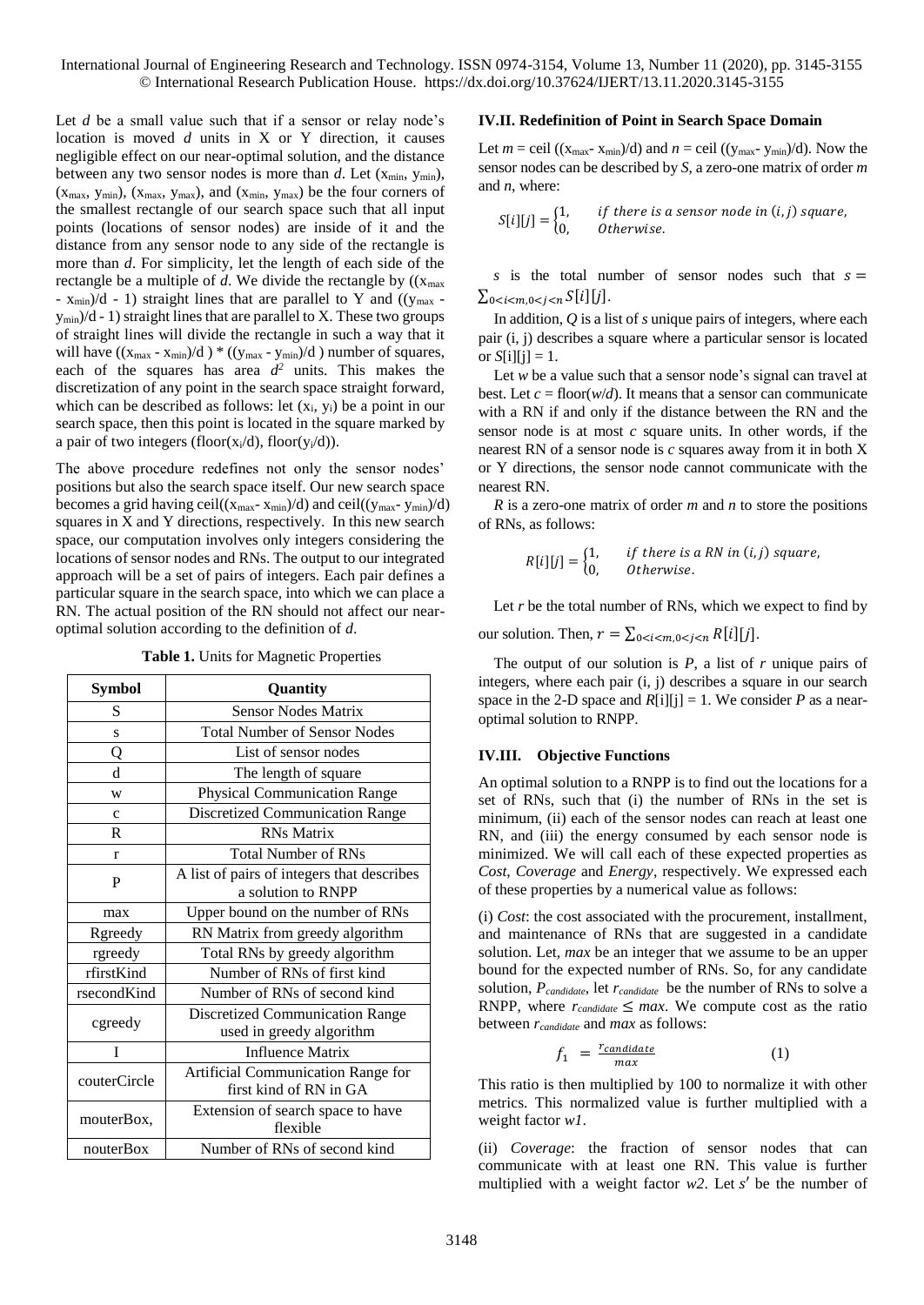Let *d* be a small value such that if a sensor or relay node's location is moved *d* units in X or Y direction, it causes negligible effect on our near-optimal solution, and the distance between any two sensor nodes is more than  $d$ . Let  $(x_{min}, y_{min})$ ,  $(x_{max}, y_{min})$ ,  $(x_{max}, y_{max})$ , and  $(x_{min}, y_{max})$  be the four corners of the smallest rectangle of our search space such that all input points (locations of sensor nodes) are inside of it and the distance from any sensor node to any side of the rectangle is more than *d*. For simplicity, let the length of each side of the rectangle be a multiple of  $d$ . We divide the rectangle by  $((x_{max}$  $- x_{\text{min}}/d - 1$ ) straight lines that are parallel to Y and (( $y_{\text{max}}$ )  $y_{\text{min}}/d - 1$ ) straight lines that are parallel to X. These two groups of straight lines will divide the rectangle in such a way that it will have  $((x_{max} - x_{min})/d) * ((y_{max} - y_{min})/d)$  number of squares, each of the squares has area  $d^2$  units. This makes the discretization of any point in the search space straight forward, which can be described as follows: let  $(x_i, y_i)$  be a point in our search space, then this point is located in the square marked by a pair of two integers (floor( $x_i/d$ ), floor( $y_i/d$ )).

The above procedure redefines not only the sensor nodes' positions but also the search space itself. Our new search space becomes a grid having ceil( $(x_{max}- x_{min})/d$ ) and ceil( $(y_{max}- y_{min})/d$ ) squares in X and Y directions, respectively. In this new search space, our computation involves only integers considering the locations of sensor nodes and RNs. The output to our integrated approach will be a set of pairs of integers. Each pair defines a particular square in the search space, into which we can place a RN. The actual position of the RN should not affect our nearoptimal solution according to the definition of *d*.

| Table 1. Units for Magnetic Properties |  |  |  |  |  |
|----------------------------------------|--|--|--|--|--|
|----------------------------------------|--|--|--|--|--|

| <b>Symbol</b> | Quantity                                                           |
|---------------|--------------------------------------------------------------------|
| S             | <b>Sensor Nodes Matrix</b>                                         |
| S             | <b>Total Number of Sensor Nodes</b>                                |
| Q             | List of sensor nodes                                               |
| d             | The length of square                                               |
| W             | <b>Physical Communication Range</b>                                |
| $\mathbf{C}$  | <b>Discretized Communication Range</b>                             |
| $\mathbf R$   | <b>RNs Matrix</b>                                                  |
| $\mathbf{r}$  | <b>Total Number of RNs</b>                                         |
| P             | A list of pairs of integers that describes<br>a solution to RNPP   |
| max           | Upper bound on the number of RNs                                   |
| Rgreedy       | RN Matrix from greedy algorithm                                    |
| rgreedy       | Total RNs by greedy algorithm                                      |
| rfirstKind    | Number of RNs of first kind                                        |
| rsecondKind   | Number of RNs of second kind                                       |
| cgreedy       | <b>Discretized Communication Range</b><br>used in greedy algorithm |
| T             | <b>Influence Matrix</b>                                            |
| couterCircle  | Artificial Communication Range for<br>first kind of RN in GA       |
| mouterBox,    | Extension of search space to have<br>flexible                      |
| nouterBox     | Number of RNs of second kind                                       |

#### **IV.II. Redefinition of Point in Search Space Domain**

Let  $m =$  ceil (( $x_{\text{max}} - x_{\text{min}}$ )/d) and  $n =$  ceil (( $y_{\text{max}} - y_{\text{min}}$ )/d). Now the sensor nodes can be described by *S*, a zero-one matrix of order *m* and *n*, where:

$$
S[i][j] = \begin{cases} 1, & if there is a sensor node in (i, j) square, \\ 0, & Otherwise. \end{cases}
$$

*s* is the total number of sensor nodes such that  $s =$  $\sum_{0 \le i \le m} \sum_{0 \le i \le n} S[i][j].$ 

In addition, *Q* is a list of *s* unique pairs of integers, where each pair (i, j) describes a square where a particular sensor is located or  $S[i][i] = 1$ .

Let *w* be a value such that a sensor node's signal can travel at best. Let  $c =$  floor( $w/d$ ). It means that a sensor can communicate with a RN if and only if the distance between the RN and the sensor node is at most *c* square units. In other words, if the nearest RN of a sensor node is *c* squares away from it in both X or Y directions, the sensor node cannot communicate with the nearest RN.

*R* is a zero-one matrix of order *m* and *n* to store the positions of RNs, as follows:

$$
R[i][j] = \begin{cases} 1, & if there is a RN in (i,j) square, \\ 0, & Otherwise. \end{cases}
$$

Let *r* be the total number of RNs, which we expect to find by

our solution. Then,  $r = \sum_{0 \le i \le m, 0 \le j \le n} R[i][j].$ 

The output of our solution is *P*, a list of *r* unique pairs of integers, where each pair (i, j) describes a square in our search space in the 2-D space and  $R[i][j] = 1$ . We consider *P* as a nearoptimal solution to RNPP.

## **IV.III. Objective Functions**

An optimal solution to a RNPP is to find out the locations for a set of RNs, such that (i) the number of RNs in the set is minimum, (ii) each of the sensor nodes can reach at least one RN, and (iii) the energy consumed by each sensor node is minimized. We will call each of these expected properties as *Cost*, *Coverage* and *Energy*, respectively. We expressed each of these properties by a numerical value as follows:

(i) *Cost*: the cost associated with the procurement, installment, and maintenance of RNs that are suggested in a candidate solution. Let, *max* be an integer that we assume to be an upper bound for the expected number of RNs. So, for any candidate solution, *Pcandidate*, let *rcandidate* be the number of RNs to solve a RNPP, where  $r_{candidate} \leq max$ . We compute cost as the ratio between *rcandidate* and *max* as follows:

$$
f_1 = \frac{r_{candidate}}{max} \tag{1}
$$

This ratio is then multiplied by 100 to normalize it with other metrics. This normalized value is further multiplied with a weight factor *w1*.

(ii) *Coverage*: the fraction of sensor nodes that can communicate with at least one RN. This value is further multiplied with a weight factor  $w2$ . Let s' be the number of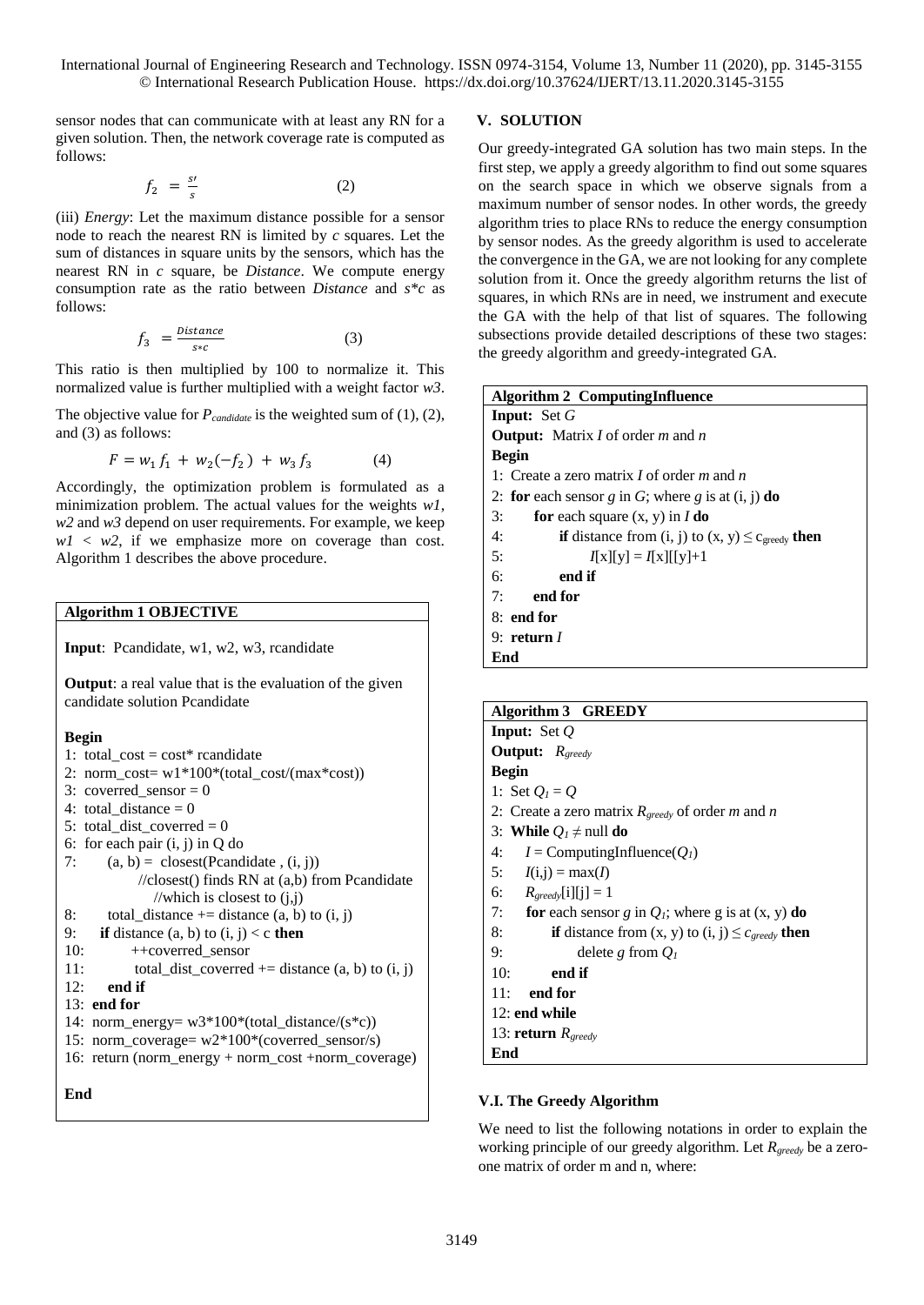sensor nodes that can communicate with at least any RN for a given solution. Then, the network coverage rate is computed as follows:

$$
f_2 = \frac{s'}{s} \tag{2}
$$

(iii) *Energy*: Let the maximum distance possible for a sensor node to reach the nearest RN is limited by *c* squares. Let the sum of distances in square units by the sensors, which has the nearest RN in *c* square, be *Distance*. We compute energy consumption rate as the ratio between *Distance* and *s\*c* as follows:

$$
f_3 = \frac{Distance}{s*c} \tag{3}
$$

This ratio is then multiplied by 100 to normalize it. This normalized value is further multiplied with a weight factor *w3*.

The objective value for *Pcandidate* is the weighted sum of (1), (2), and (3) as follows:

$$
F = w_1 f_1 + w_2(-f_2) + w_3 f_3 \tag{4}
$$

Accordingly, the optimization problem is formulated as a minimization problem. The actual values for the weights *w1*, *w2* and *w3* depend on user requirements. For example, we keep  $w1 \leq w2$ , if we emphasize more on coverage than cost. Algorithm 1 describes the above procedure.

## **Algorithm 1 OBJECTIVE**

**Input**: Pcandidate, w1, w2, w3, rcandidate

**Output**: a real value that is the evaluation of the given candidate solution Pcandidate

## **Begin**

1: total\_cost =  $cost*$  rcandidate

2: norm\_cost= w1\*100\*(total\_cost/(max\*cost)) 3: coverred sensor  $= 0$ 4: total distance  $= 0$ 5: total dist coverred  $= 0$ 6: for each pair (i, j) in Q do 7:  $(a, b) = closest(Pcandidate, (i, j))$  //closest() finds RN at (a,b) from Pcandidate //which is closest to (j,j) 8: total\_distance  $+=$  distance  $(a, b)$  to  $(i, j)$ 9: **if** distance  $(a, b)$  to  $(i, j) < c$  **then** 10: ++coverred\_sensor 11: total\_dist\_coverred  $+=$  distance  $(a, b)$  to  $(i, j)$ 12: **end if** 13: **end for** 14: norm\_energy= w3\*100\*(total\_distance/(s\*c)) 15: norm\_coverage= w2\*100\*(coverred\_sensor/s) 16: return (norm\_energy + norm\_cost +norm\_coverage)

**End**

## **V. SOLUTION**

Our greedy-integrated GA solution has two main steps. In the first step, we apply a greedy algorithm to find out some squares on the search space in which we observe signals from a maximum number of sensor nodes. In other words, the greedy algorithm tries to place RNs to reduce the energy consumption by sensor nodes. As the greedy algorithm is used to accelerate the convergence in the GA, we are not looking for any complete solution from it. Once the greedy algorithm returns the list of squares, in which RNs are in need, we instrument and execute the GA with the help of that list of squares. The following subsections provide detailed descriptions of these two stages: the greedy algorithm and greedy-integrated GA.

| <b>Algorithm 2 ComputingInfluence</b>                                        |  |  |  |  |  |  |  |  |
|------------------------------------------------------------------------------|--|--|--|--|--|--|--|--|
| <b>Input:</b> Set $G$                                                        |  |  |  |  |  |  |  |  |
| <b>Output:</b> Matrix $I$ of order $m$ and $n$                               |  |  |  |  |  |  |  |  |
| Begin                                                                        |  |  |  |  |  |  |  |  |
| 1: Create a zero matrix I of order $m$ and $n$                               |  |  |  |  |  |  |  |  |
| 2: for each sensor g in G; where g is at $(i, j)$ do                         |  |  |  |  |  |  |  |  |
| for each square $(x, y)$ in $I$ do<br>3:                                     |  |  |  |  |  |  |  |  |
| 4:<br><b>if</b> distance from (i, j) to $(x, y) \leq c_{\text{greedy}}$ then |  |  |  |  |  |  |  |  |
| 5:<br>$I[x][y] = I[x][[y]+1]$                                                |  |  |  |  |  |  |  |  |
| 6:<br>end if                                                                 |  |  |  |  |  |  |  |  |
| 7:<br>end for                                                                |  |  |  |  |  |  |  |  |
| $8:$ end for                                                                 |  |  |  |  |  |  |  |  |
| 9: return $I$                                                                |  |  |  |  |  |  |  |  |
| End                                                                          |  |  |  |  |  |  |  |  |

| Algorithm 3 GREEDY                                                      |
|-------------------------------------------------------------------------|
| <b>Input:</b> Set $Q$                                                   |
| <b>Output:</b> $R_{\text{greedy}}$                                      |
| <b>Begin</b>                                                            |
| 1: Set $Q_i = Q$                                                        |
| 2: Create a zero matrix $R_{greedy}$ of order m and n                   |
| 3: While $Q_l \neq \text{null}$ do                                      |
| 4: $I =$ ComputingInfluence( $Q_I$ )                                    |
| 5: $I(i,j) = max(I)$                                                    |
| 6: $R_{greedy}[i][j] = 1$                                               |
| 7: for each sensor g in $Q_i$ ; where g is at $(x, y)$ do               |
| 8:<br><b>if</b> distance from $(x, y)$ to $(i, j) \leq c_{greedy}$ then |
| 9:<br>delete g from $Q_I$                                               |
| 10:<br>end if                                                           |
| 11:<br>end for                                                          |
| 12: end while                                                           |
| 13: <b>return</b> $R_{greedy}$                                          |
| End                                                                     |

# **V.I. The Greedy Algorithm**

We need to list the following notations in order to explain the working principle of our greedy algorithm. Let *Rgreedy* be a zeroone matrix of order m and n, where: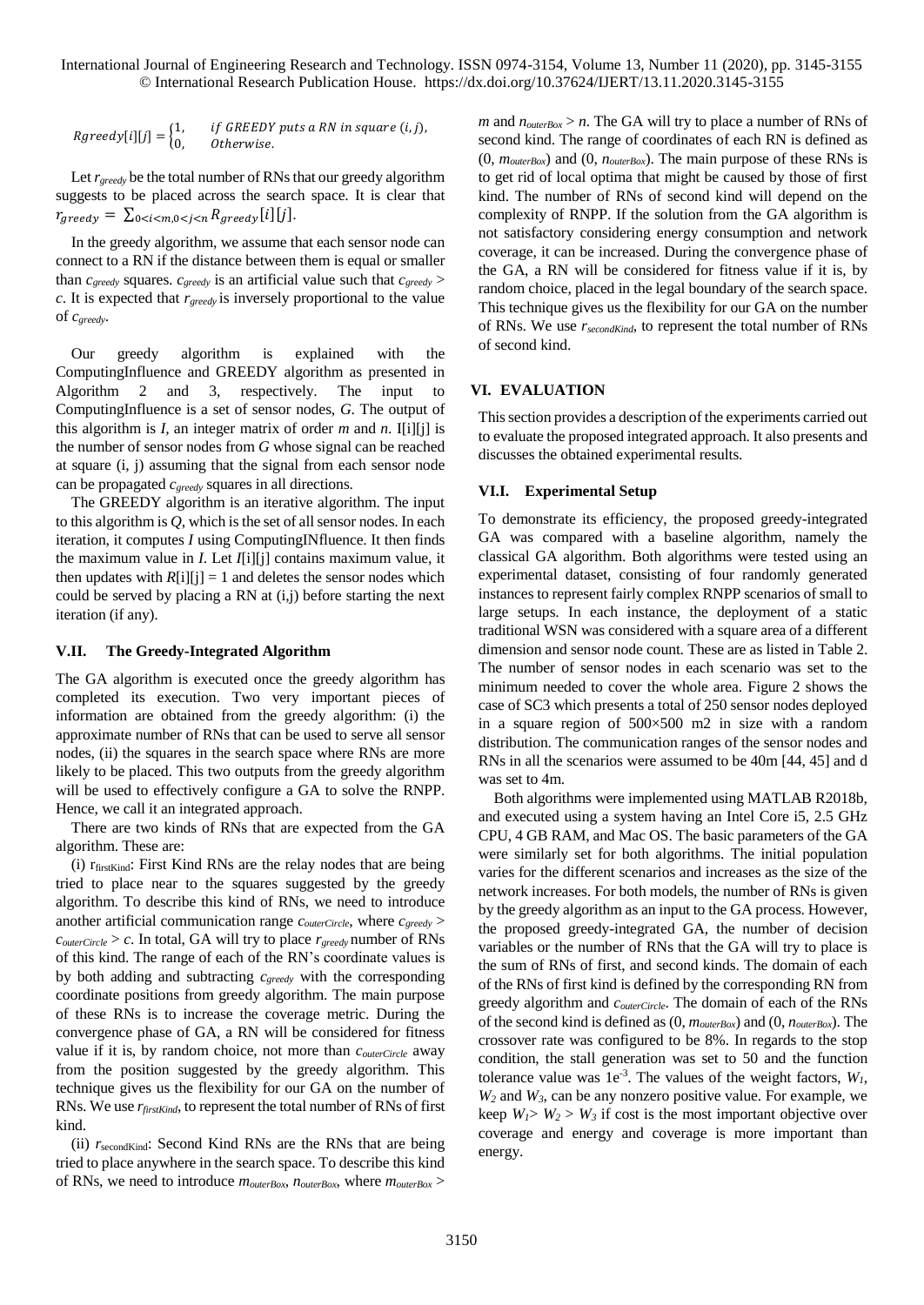$$
Rgreedy[i][j] = \begin{cases} 1, & if GREEDY puts a RN in square (i, j), \\ 0, & Otherwise. \end{cases}
$$

Let *rgreedy* be the total number of RNs that our greedy algorithm suggests to be placed across the search space. It is clear that  $r_{areedv} = \sum_{0 \le i \le m, 0 \le i \le n} R_{areedv}[i][j].$ 

In the greedy algorithm, we assume that each sensor node can connect to a RN if the distance between them is equal or smaller than  $c_{\text{greedy}}$  squares.  $c_{\text{greedy}}$  is an artificial value such that  $c_{\text{greedy}}$ *c*. It is expected that *rgreedy* is inversely proportional to the value of *cgreedy*.

Our greedy algorithm is explained with the ComputingInfluence and GREEDY algorithm as presented in Algorithm 2 and 3, respectively. The input to ComputingInfluence is a set of sensor nodes, *G*. The output of this algorithm is *I,* an integer matrix of order *m* and *n*. I[i][j] is the number of sensor nodes from *G* whose signal can be reached at square (i, j) assuming that the signal from each sensor node can be propagated *cgreedy* squares in all directions.

The GREEDY algorithm is an iterative algorithm. The input to this algorithm is *Q*, which is the set of all sensor nodes. In each iteration, it computes *I* using ComputingINfluence. It then finds the maximum value in *I*. Let *I*[i][j] contains maximum value, it then updates with  $R[i][j] = 1$  and deletes the sensor nodes which could be served by placing a RN at (i,j) before starting the next iteration (if any).

### **V.II. The Greedy-Integrated Algorithm**

The GA algorithm is executed once the greedy algorithm has completed its execution. Two very important pieces of information are obtained from the greedy algorithm: (i) the approximate number of RNs that can be used to serve all sensor nodes, (ii) the squares in the search space where RNs are more likely to be placed. This two outputs from the greedy algorithm will be used to effectively configure a GA to solve the RNPP. Hence, we call it an integrated approach.

There are two kinds of RNs that are expected from the GA algorithm. These are:

(i) rfirstKind: First Kind RNs are the relay nodes that are being tried to place near to the squares suggested by the greedy algorithm. To describe this kind of RNs, we need to introduce another artificial communication range *couterCircle*, where *cgreedy* >  $c_{outerCircle} > c$ . In total, GA will try to place  $r_{greedy}$  number of RNs of this kind. The range of each of the RN's coordinate values is by both adding and subtracting *cgreedy* with the corresponding coordinate positions from greedy algorithm. The main purpose of these RNs is to increase the coverage metric. During the convergence phase of GA, a RN will be considered for fitness value if it is, by random choice, not more than *couterCircle* away from the position suggested by the greedy algorithm. This technique gives us the flexibility for our GA on the number of RNs. We use *rfirstKind*, to represent the total number of RNs of first kind.

(ii)  $r_{\text{secondKind}}$ : Second Kind RNs are the RNs that are being tried to place anywhere in the search space. To describe this kind of RNs, we need to introduce *mouterBox*, *nouterBox*, where *mouterBox* >

*m* and  $n_{outerBox} > n$ . The GA will try to place a number of RNs of second kind. The range of coordinates of each RN is defined as (0, *mouterBox*) and (0, *nouterBox*). The main purpose of these RNs is to get rid of local optima that might be caused by those of first kind. The number of RNs of second kind will depend on the complexity of RNPP. If the solution from the GA algorithm is not satisfactory considering energy consumption and network coverage, it can be increased. During the convergence phase of the GA, a RN will be considered for fitness value if it is, by random choice, placed in the legal boundary of the search space. This technique gives us the flexibility for our GA on the number of RNs. We use *rsecondKind*, to represent the total number of RNs of second kind.

#### **VI. EVALUATION**

This section provides a description of the experiments carried out to evaluate the proposed integrated approach. It also presents and discusses the obtained experimental results.

#### **VI.I. Experimental Setup**

To demonstrate its efficiency, the proposed greedy-integrated GA was compared with a baseline algorithm, namely the classical GA algorithm. Both algorithms were tested using an experimental dataset, consisting of four randomly generated instances to represent fairly complex RNPP scenarios of small to large setups. In each instance, the deployment of a static traditional WSN was considered with a square area of a different dimension and sensor node count. These are as listed in Table 2. The number of sensor nodes in each scenario was set to the minimum needed to cover the whole area. Figure 2 shows the case of SC3 which presents a total of 250 sensor nodes deployed in a square region of 500×500 m2 in size with a random distribution. The communication ranges of the sensor nodes and RNs in all the scenarios were assumed to be 40m [44, 45] and d was set to 4m.

Both algorithms were implemented using MATLAB R2018b, and executed using a system having an Intel Core i5, 2.5 GHz CPU, 4 GB RAM, and Mac OS. The basic parameters of the GA were similarly set for both algorithms. The initial population varies for the different scenarios and increases as the size of the network increases. For both models, the number of RNs is given by the greedy algorithm as an input to the GA process. However, the proposed greedy-integrated GA, the number of decision variables or the number of RNs that the GA will try to place is the sum of RNs of first, and second kinds. The domain of each of the RNs of first kind is defined by the corresponding RN from greedy algorithm and *couterCircle*. The domain of each of the RNs of the second kind is defined as (0, *mouterBox*) and (0, *nouterBox*). The crossover rate was configured to be 8%. In regards to the stop condition, the stall generation was set to 50 and the function tolerance value was  $1e^{-3}$ . The values of the weight factors,  $W_1$ ,  $W_2$  and  $W_3$ , can be any nonzero positive value. For example, we keep  $W_1 > W_2 > W_3$  if cost is the most important objective over coverage and energy and coverage is more important than energy.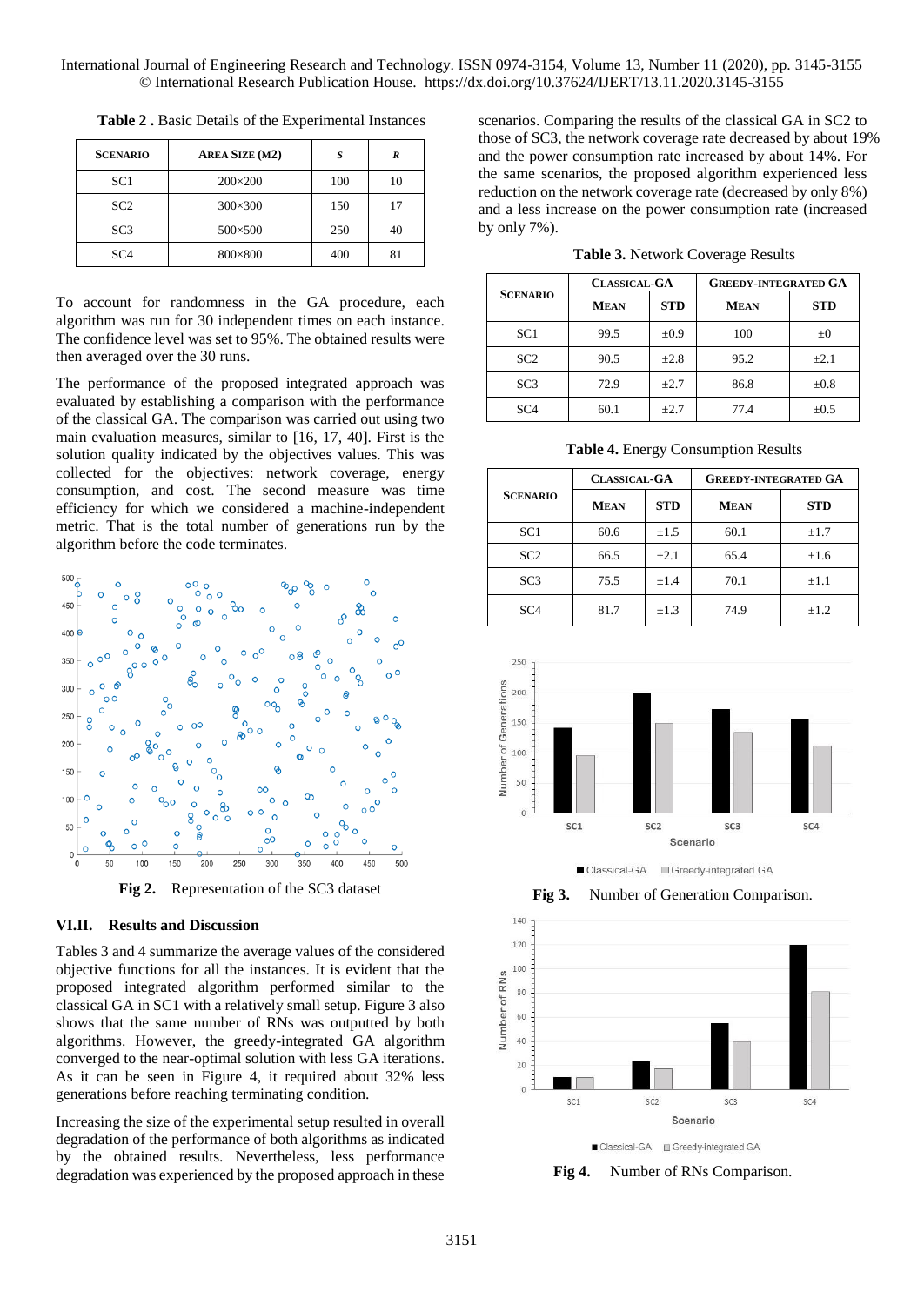| <b>SCENARIO</b> | AREA SIZE (M2) | S   | R  |
|-----------------|----------------|-----|----|
| SC <sub>1</sub> | $200\times200$ | 100 | 10 |
| SC2             | $300\times300$ | 150 | 17 |
| SC3             | 500×500        | 250 | 40 |
| SC <sub>4</sub> | 800×800        | 400 | 81 |

**Table 2 .** Basic Details of the Experimental Instances

To account for randomness in the GA procedure, each algorithm was run for 30 independent times on each instance. The confidence level was set to 95%. The obtained results were then averaged over the 30 runs.

The performance of the proposed integrated approach was evaluated by establishing a comparison with the performance of the classical GA. The comparison was carried out using two main evaluation measures, similar to [16, 17, 40]. First is the solution quality indicated by the objectives values. This was collected for the objectives: network coverage, energy consumption, and cost. The second measure was time efficiency for which we considered a machine-independent metric. That is the total number of generations run by the algorithm before the code terminates.



**Fig 2.** Representation of the SC3 dataset

#### **VI.II. Results and Discussion**

Tables 3 and 4 summarize the average values of the considered objective functions for all the instances. It is evident that the proposed integrated algorithm performed similar to the classical GA in SC1 with a relatively small setup. Figure 3 also shows that the same number of RNs was outputted by both algorithms. However, the greedy-integrated GA algorithm converged to the near-optimal solution with less GA iterations. As it can be seen in Figure 4, it required about 32% less generations before reaching terminating condition.

Increasing the size of the experimental setup resulted in overall degradation of the performance of both algorithms as indicated by the obtained results. Nevertheless, less performance degradation was experienced by the proposed approach in these

scenarios. Comparing the results of the classical GA in SC2 to those of SC3, the network coverage rate decreased by about 19% and the power consumption rate increased by about 14%. For the same scenarios, the proposed algorithm experienced less reduction on the network coverage rate (decreased by only 8%) and a less increase on the power consumption rate (increased by only 7%).

**Table 3.** Network Coverage Results

|                 | <b>CLASSICAL-GA</b> |            | <b>GREEDY-INTEGRATED GA</b> |            |  |  |  |
|-----------------|---------------------|------------|-----------------------------|------------|--|--|--|
| <b>SCENARIO</b> | <b>MEAN</b>         | <b>STD</b> | <b>MEAN</b>                 | <b>STD</b> |  |  |  |
| SC <sub>1</sub> | 99.5                | $\pm 0.9$  | 100                         | $\pm 0$    |  |  |  |
| SC <sub>2</sub> | 90.5                | $\pm 2.8$  | 95.2                        | $\pm 2.1$  |  |  |  |
| SC <sub>3</sub> | 72.9                | $+2.7$     | 86.8                        | $\pm 0.8$  |  |  |  |
| SC <sub>4</sub> | 60.1                | $+2.7$     | 77.4                        | $\pm 0.5$  |  |  |  |

**Table 4.** Energy Consumption Results

|                 | <b>CLASSICAL-GA</b> |            | <b>GREEDY-INTEGRATED GA</b> |            |  |  |  |
|-----------------|---------------------|------------|-----------------------------|------------|--|--|--|
| <b>SCENARIO</b> | <b>MEAN</b>         | <b>STD</b> | <b>MEAN</b>                 | <b>STD</b> |  |  |  |
| SC <sub>1</sub> | 60.6                | $\pm 1.5$  | 60.1                        | $\pm 1.7$  |  |  |  |
| SC2             | 66.5                | $\pm 2.1$  | 65.4                        | $\pm 1.6$  |  |  |  |
| SC <sub>3</sub> | 75.5                | $\pm 1.4$  | 70.1                        | $\pm 1.1$  |  |  |  |
| SC <sub>4</sub> | 81.7                | $\pm 1.3$  | 74.9                        | $\pm 1.2$  |  |  |  |



■ Classical-GA Greedy-integrated GA

**Fig 3.** Number of Generation Comparison.



**Fig 4.** Number of RNs Comparison.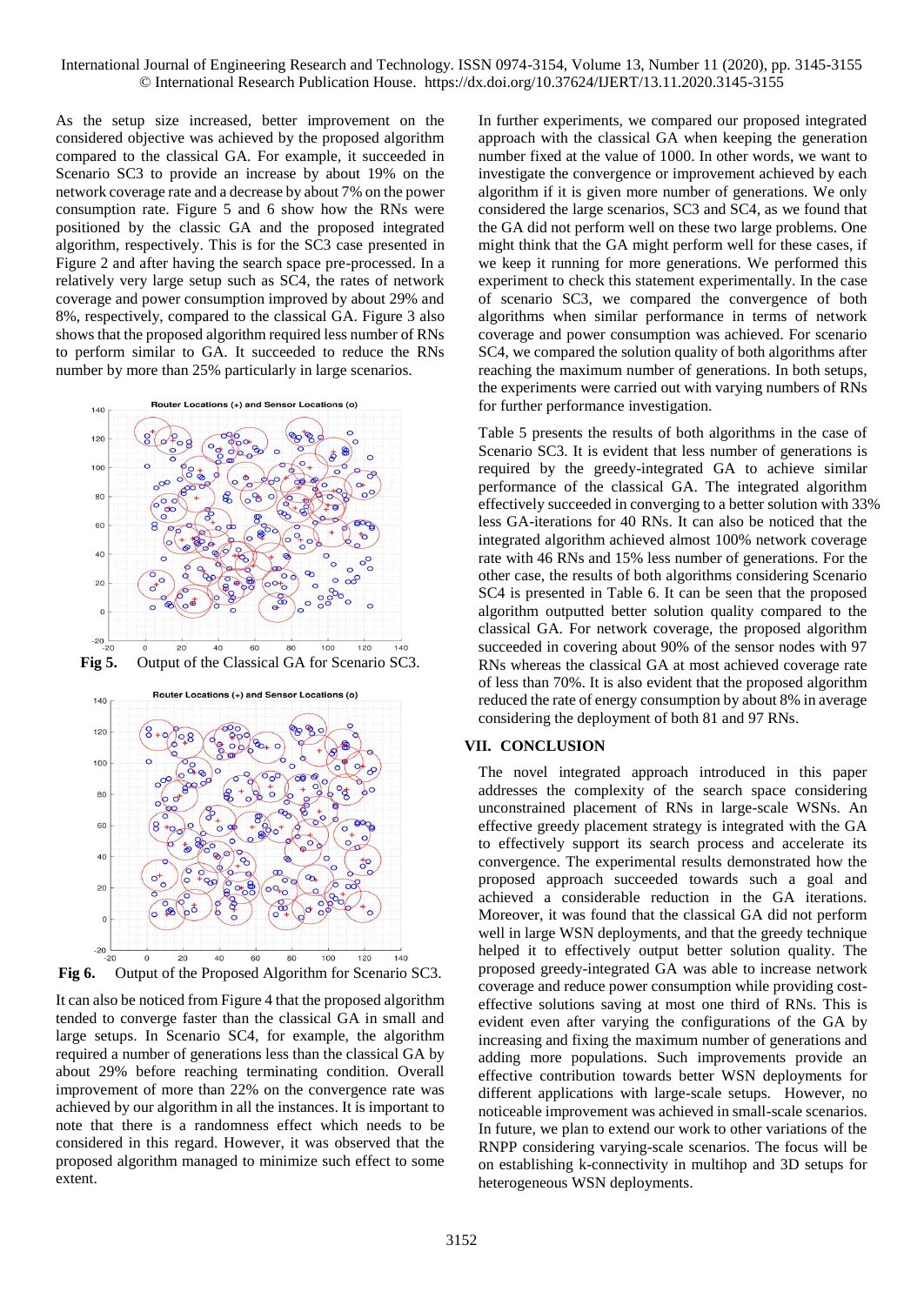As the setup size increased, better improvement on the considered objective was achieved by the proposed algorithm compared to the classical GA. For example, it succeeded in Scenario SC3 to provide an increase by about 19% on the network coverage rate and a decrease by about 7% on the power consumption rate. Figure 5 and 6 show how the RNs were positioned by the classic GA and the proposed integrated algorithm, respectively. This is for the SC3 case presented in Figure 2 and after having the search space pre-processed. In a relatively very large setup such as SC4, the rates of network coverage and power consumption improved by about 29% and 8%, respectively, compared to the classical GA. Figure 3 also shows that the proposed algorithm required less number of RNs to perform similar to GA. It succeeded to reduce the RNs number by more than 25% particularly in large scenarios.



It can also be noticed from Figure 4 that the proposed algorithm tended to converge faster than the classical GA in small and large setups. In Scenario SC4, for example, the algorithm required a number of generations less than the classical GA by about 29% before reaching terminating condition. Overall improvement of more than 22% on the convergence rate was achieved by our algorithm in all the instances. It is important to note that there is a randomness effect which needs to be considered in this regard. However, it was observed that the proposed algorithm managed to minimize such effect to some extent.

In further experiments, we compared our proposed integrated approach with the classical GA when keeping the generation number fixed at the value of 1000. In other words, we want to investigate the convergence or improvement achieved by each algorithm if it is given more number of generations. We only considered the large scenarios, SC3 and SC4, as we found that the GA did not perform well on these two large problems. One might think that the GA might perform well for these cases, if we keep it running for more generations. We performed this experiment to check this statement experimentally. In the case of scenario SC3, we compared the convergence of both algorithms when similar performance in terms of network coverage and power consumption was achieved. For scenario SC4, we compared the solution quality of both algorithms after reaching the maximum number of generations. In both setups, the experiments were carried out with varying numbers of RNs for further performance investigation.

Table 5 presents the results of both algorithms in the case of Scenario SC3. It is evident that less number of generations is required by the greedy-integrated GA to achieve similar performance of the classical GA. The integrated algorithm effectively succeeded in converging to a better solution with 33% less GA-iterations for 40 RNs. It can also be noticed that the integrated algorithm achieved almost 100% network coverage rate with 46 RNs and 15% less number of generations. For the other case, the results of both algorithms considering Scenario SC4 is presented in Table 6. It can be seen that the proposed algorithm outputted better solution quality compared to the classical GA. For network coverage, the proposed algorithm succeeded in covering about 90% of the sensor nodes with 97 RNs whereas the classical GA at most achieved coverage rate of less than 70%. It is also evident that the proposed algorithm reduced the rate of energy consumption by about 8% in average considering the deployment of both 81 and 97 RNs.

# **VII. CONCLUSION**

The novel integrated approach introduced in this paper addresses the complexity of the search space considering unconstrained placement of RNs in large-scale WSNs. An effective greedy placement strategy is integrated with the GA to effectively support its search process and accelerate its convergence. The experimental results demonstrated how the proposed approach succeeded towards such a goal and achieved a considerable reduction in the GA iterations. Moreover, it was found that the classical GA did not perform well in large WSN deployments, and that the greedy technique helped it to effectively output better solution quality. The proposed greedy-integrated GA was able to increase network coverage and reduce power consumption while providing costeffective solutions saving at most one third of RNs. This is evident even after varying the configurations of the GA by increasing and fixing the maximum number of generations and adding more populations. Such improvements provide an effective contribution towards better WSN deployments for different applications with large-scale setups. However, no noticeable improvement was achieved in small-scale scenarios. In future, we plan to extend our work to other variations of the RNPP considering varying-scale scenarios. The focus will be on establishing k-connectivity in multihop and 3D setups for heterogeneous WSN deployments.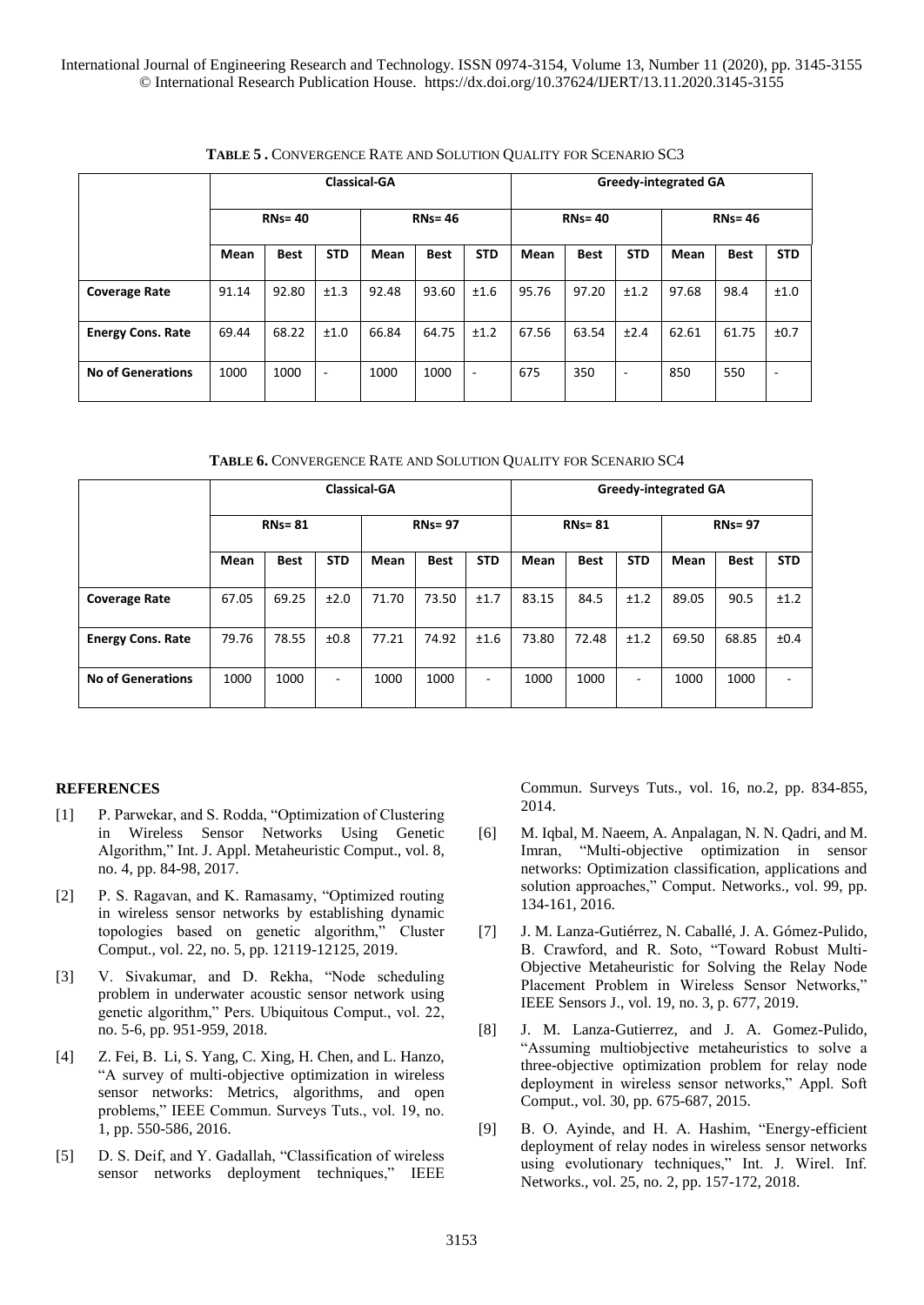|                          | <b>Classical-GA</b> |             |                          |       |             |            | <b>Greedy-integrated GA</b> |             |                          |       |             |            |
|--------------------------|---------------------|-------------|--------------------------|-------|-------------|------------|-----------------------------|-------------|--------------------------|-------|-------------|------------|
|                          | $RNs = 40$          |             | $RNs = 46$               |       |             | $RNs = 40$ |                             |             | <b>RNs=46</b>            |       |             |            |
|                          | Mean                | <b>Best</b> | <b>STD</b>               | Mean  | <b>Best</b> | <b>STD</b> | Mean                        | <b>Best</b> | <b>STD</b>               | Mean  | <b>Best</b> | <b>STD</b> |
| <b>Coverage Rate</b>     | 91.14               | 92.80       | ±1.3                     | 92.48 | 93.60       | ±1.6       | 95.76                       | 97.20       | ±1.2                     | 97.68 | 98.4        | ±1.0       |
| <b>Energy Cons. Rate</b> | 69.44               | 68.22       | ±1.0                     | 66.84 | 64.75       | ±1.2       | 67.56                       | 63.54       | ±2.4                     | 62.61 | 61.75       | ±0.7       |
| <b>No of Generations</b> | 1000                | 1000        | $\overline{\phantom{a}}$ | 1000  | 1000        | ٠          | 675                         | 350         | $\overline{\phantom{a}}$ | 850   | 550         | ٠          |

**TABLE 5 .** CONVERGENCE RATE AND SOLUTION QUALITY FOR SCENARIO SC3

|                          | <b>Classical-GA</b> |             |                          |               |             |            | <b>Greedy-integrated GA</b> |             |            |            |             |            |
|--------------------------|---------------------|-------------|--------------------------|---------------|-------------|------------|-----------------------------|-------------|------------|------------|-------------|------------|
|                          | $RNs = 81$          |             |                          | <b>RNs=97</b> |             |            | <b>RNs=81</b>               |             |            | $RNs = 97$ |             |            |
|                          | Mean                | <b>Best</b> | <b>STD</b>               | Mean          | <b>Best</b> | <b>STD</b> | Mean                        | <b>Best</b> | <b>STD</b> | Mean       | <b>Best</b> | <b>STD</b> |
| <b>Coverage Rate</b>     | 67.05               | 69.25       | ±2.0                     | 71.70         | 73.50       | ±1.7       | 83.15                       | 84.5        | ±1.2       | 89.05      | 90.5        | ±1.2       |
| <b>Energy Cons. Rate</b> | 79.76               | 78.55       | ±0.8                     | 77.21         | 74.92       | ±1.6       | 73.80                       | 72.48       | ±1.2       | 69.50      | 68.85       | ±0.4       |
| <b>No of Generations</b> | 1000                | 1000        | $\overline{\phantom{a}}$ | 1000          | 1000        | ۰          | 1000                        | 1000        | ٠          | 1000       | 1000        | ٠          |

# **REFERENCES**

- [1] P. Parwekar, and S. Rodda, "Optimization of Clustering in Wireless Sensor Networks Using Genetic Algorithm," Int. J. Appl. Metaheuristic Comput., vol. 8, no. 4, pp. 84-98, 2017.
- [2] P. S. Ragavan, and K. Ramasamy, "Optimized routing in wireless sensor networks by establishing dynamic topologies based on genetic algorithm," Cluster Comput., vol. 22, no. 5, pp. 12119-12125, 2019.
- [3] V. Sivakumar, and D. Rekha, "Node scheduling problem in underwater acoustic sensor network using genetic algorithm," Pers. Ubiquitous Comput., vol. 22, no. 5-6, pp. 951-959, 2018.
- [4] Z. Fei, B. Li, S. Yang, C. Xing, H. Chen, and L. Hanzo, "A survey of multi-objective optimization in wireless sensor networks: Metrics, algorithms, and open problems," IEEE Commun. Surveys Tuts., vol. 19, no. 1, pp. 550-586, 2016.
- [5] D. S. Deif, and Y. Gadallah, "Classification of wireless sensor networks deployment techniques," IEEE

Commun. Surveys Tuts., vol. 16, no.2, pp. 834-855, 2014.

- [6] M. Iqbal, M. Naeem, A. Anpalagan, N. N. Qadri, and M. Imran, "Multi-objective optimization in sensor networks: Optimization classification, applications and solution approaches," Comput. Networks., vol. 99, pp. 134-161, 2016.
- [7] J. M. Lanza-Gutiérrez, N. Caballé, J. A. Gómez-Pulido, B. Crawford, and R. Soto, "Toward Robust Multi-Objective Metaheuristic for Solving the Relay Node Placement Problem in Wireless Sensor Networks," IEEE Sensors J., vol. 19, no. 3, p. 677, 2019.
- [8] J. M. Lanza-Gutierrez, and J. A. Gomez-Pulido, "Assuming multiobjective metaheuristics to solve a three-objective optimization problem for relay node deployment in wireless sensor networks," Appl. Soft Comput., vol. 30, pp. 675-687, 2015.
- [9] B. O. Ayinde, and H. A. Hashim, "Energy-efficient deployment of relay nodes in wireless sensor networks using evolutionary techniques," Int. J. Wirel. Inf. Networks., vol. 25, no. 2, pp. 157-172, 2018.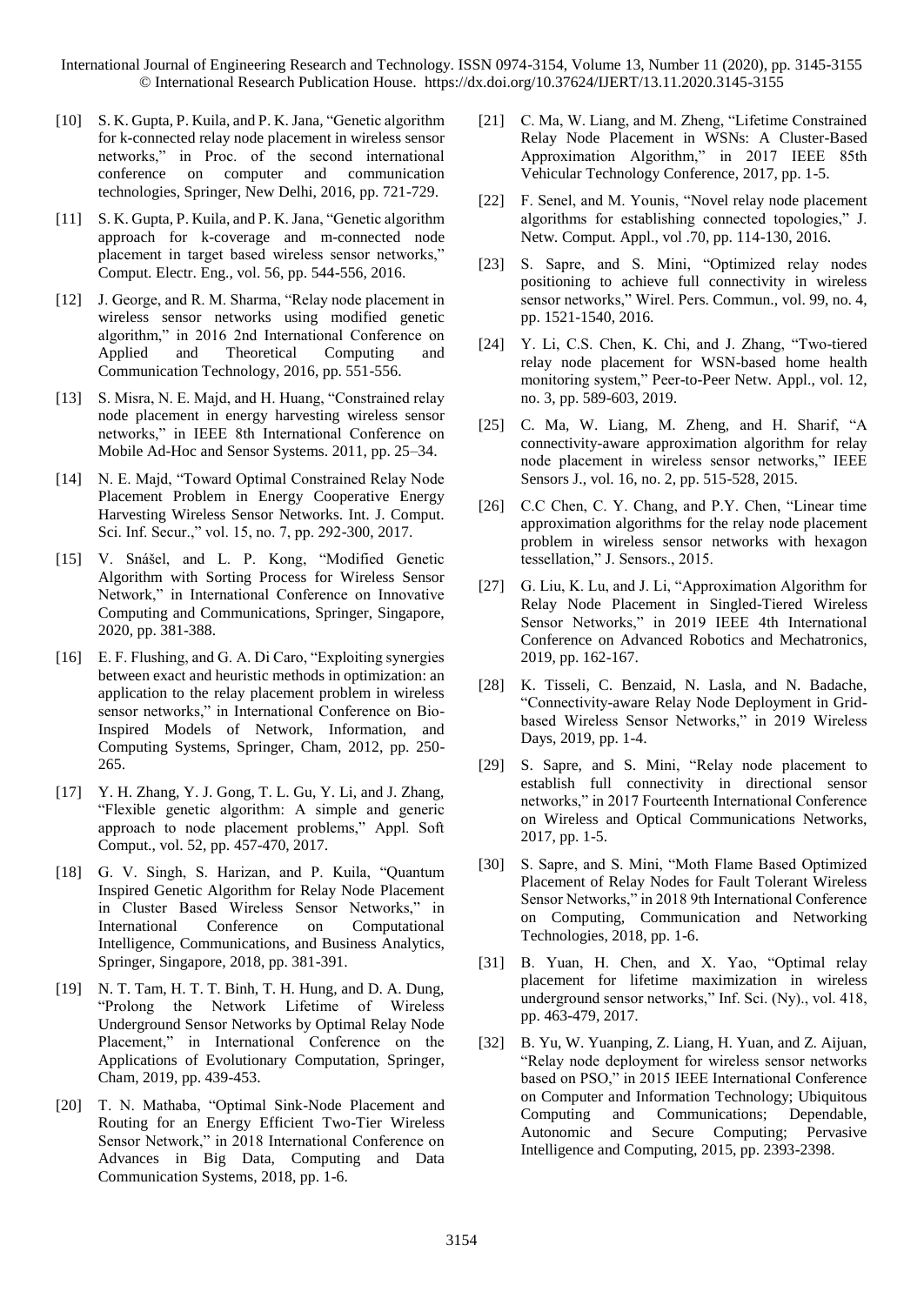- [10] S. K. Gupta, P. Kuila, and P. K. Jana, "Genetic algorithm" for k-connected relay node placement in wireless sensor networks," in Proc. of the second international conference on computer and communication technologies, Springer, New Delhi, 2016, pp. 721-729.
- [11] S. K. Gupta, P. Kuila, and P. K. Jana, "Genetic algorithm approach for k-coverage and m-connected node placement in target based wireless sensor networks," Comput. Electr. Eng., vol. 56, pp. 544-556, 2016.
- [12] J. George, and R. M. Sharma, "Relay node placement in wireless sensor networks using modified genetic algorithm," in 2016 2nd International Conference on Applied and Theoretical Computing and Communication Technology, 2016, pp. 551-556.
- [13] S. Misra, N. E. Majd, and H. Huang, "Constrained relay node placement in energy harvesting wireless sensor networks," in IEEE 8th International Conference on Mobile Ad-Hoc and Sensor Systems. 2011, pp. 25–34.
- [14] N. E. Majd, "Toward Optimal Constrained Relay Node Placement Problem in Energy Cooperative Energy Harvesting Wireless Sensor Networks. Int. J. Comput. Sci. Inf. Secur.," vol. 15, no. 7, pp. 292-300, 2017.
- [15] V. Snášel, and L. P. Kong, "Modified Genetic Algorithm with Sorting Process for Wireless Sensor Network," in International Conference on Innovative Computing and Communications, Springer, Singapore, 2020, pp. 381-388.
- [16] E. F. Flushing, and G. A. Di Caro, "Exploiting synergies between exact and heuristic methods in optimization: an application to the relay placement problem in wireless sensor networks," in International Conference on Bio-Inspired Models of Network, Information, and Computing Systems, Springer, Cham, 2012, pp. 250- 265.
- [17] Y. H. Zhang, Y. J. Gong, T. L. Gu, Y. Li, and J. Zhang, "Flexible genetic algorithm: A simple and generic approach to node placement problems," Appl. Soft Comput., vol. 52, pp. 457-470, 2017.
- [18] G. V. Singh, S. Harizan, and P. Kuila, "Quantum Inspired Genetic Algorithm for Relay Node Placement in Cluster Based Wireless Sensor Networks," in International Conference on Computational Intelligence, Communications, and Business Analytics, Springer, Singapore, 2018, pp. 381-391.
- [19] N. T. Tam, H. T. T. Binh, T. H. Hung, and D. A. Dung, "Prolong the Network Lifetime of Wireless Underground Sensor Networks by Optimal Relay Node Placement," in International Conference on the Applications of Evolutionary Computation, Springer, Cham, 2019, pp. 439-453.
- [20] T. N. Mathaba, "Optimal Sink-Node Placement and Routing for an Energy Efficient Two-Tier Wireless Sensor Network," in 2018 International Conference on Advances in Big Data, Computing and Data Communication Systems, 2018, pp. 1-6.
- [21] C. Ma, W. Liang, and M. Zheng, "Lifetime Constrained Relay Node Placement in WSNs: A Cluster-Based Approximation Algorithm," in 2017 IEEE 85th Vehicular Technology Conference, 2017, pp. 1-5.
- [22] F. Senel, and M. Younis, "Novel relay node placement algorithms for establishing connected topologies," J. Netw. Comput. Appl., vol .70, pp. 114-130, 2016.
- [23] S. Sapre, and S. Mini, "Optimized relay nodes positioning to achieve full connectivity in wireless sensor networks," Wirel. Pers. Commun., vol. 99, no. 4, pp. 1521-1540, 2016.
- [24] Y. Li, C.S. Chen, K. Chi, and J. Zhang, "Two-tiered relay node placement for WSN-based home health monitoring system," Peer-to-Peer Netw. Appl., vol. 12, no. 3, pp. 589-603, 2019.
- [25] C. Ma, W. Liang, M. Zheng, and H. Sharif, "A connectivity-aware approximation algorithm for relay node placement in wireless sensor networks," IEEE Sensors J., vol. 16, no. 2, pp. 515-528, 2015.
- [26] C.C Chen, C. Y. Chang, and P.Y. Chen, "Linear time approximation algorithms for the relay node placement problem in wireless sensor networks with hexagon tessellation," J. Sensors., 2015.
- [27] G. Liu, K. Lu, and J. Li, "Approximation Algorithm for Relay Node Placement in Singled-Tiered Wireless Sensor Networks," in 2019 IEEE 4th International Conference on Advanced Robotics and Mechatronics, 2019, pp. 162-167.
- [28] K. Tisseli, C. Benzaid, N. Lasla, and N. Badache, "Connectivity-aware Relay Node Deployment in Gridbased Wireless Sensor Networks," in 2019 Wireless Days, 2019, pp. 1-4.
- [29] S. Sapre, and S. Mini, "Relay node placement to establish full connectivity in directional sensor networks," in 2017 Fourteenth International Conference on Wireless and Optical Communications Networks, 2017, pp. 1-5.
- [30] S. Sapre, and S. Mini, "Moth Flame Based Optimized Placement of Relay Nodes for Fault Tolerant Wireless Sensor Networks," in 2018 9th International Conference on Computing, Communication and Networking Technologies, 2018, pp. 1-6.
- [31] B. Yuan, H. Chen, and X. Yao, "Optimal relay placement for lifetime maximization in wireless underground sensor networks," Inf. Sci. (Ny)., vol. 418, pp. 463-479, 2017.
- [32] B. Yu, W. Yuanping, Z. Liang, H. Yuan, and Z. Aijuan, "Relay node deployment for wireless sensor networks based on PSO," in 2015 IEEE International Conference on Computer and Information Technology; Ubiquitous Computing and Communications; Dependable, Autonomic and Secure Computing; Pervasive Intelligence and Computing, 2015, pp. 2393-2398.